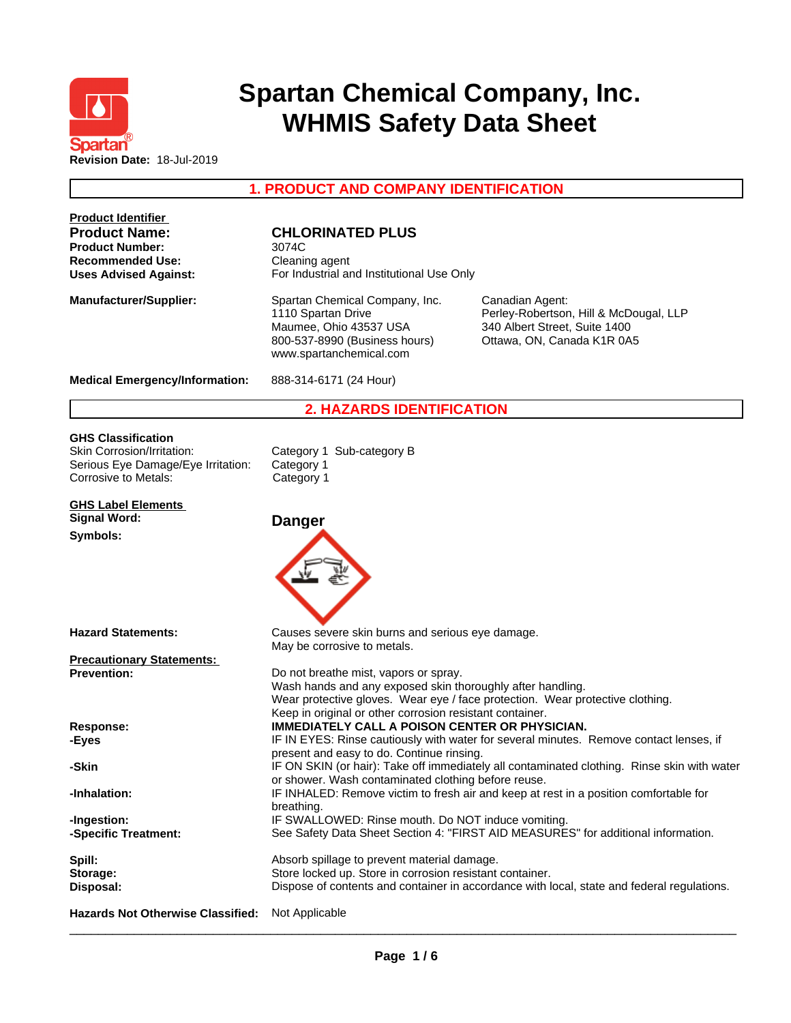

# **Spartan Chemical Company, Inc. WHMIS Safety Data Sheet**

# **1. PRODUCT AND COMPANY IDENTIFICATION**

| <b>Product Identifier</b><br><b>Product Name:</b><br><b>Product Number:</b><br><b>Recommended Use:</b><br><b>Uses Advised Against:</b> | <b>CHLORINATED PLUS</b><br>3074C<br>Cleaning agent<br>For Industrial and Institutional Use Only                                                                 |                                                                                                                          |
|----------------------------------------------------------------------------------------------------------------------------------------|-----------------------------------------------------------------------------------------------------------------------------------------------------------------|--------------------------------------------------------------------------------------------------------------------------|
| <b>Manufacturer/Supplier:</b>                                                                                                          | Spartan Chemical Company, Inc.<br>1110 Spartan Drive<br>Maumee, Ohio 43537 USA<br>800-537-8990 (Business hours)<br>www.spartanchemical.com                      | Canadian Agent:<br>Perley-Robertson, Hill & McDougal, LLP<br>340 Albert Street, Suite 1400<br>Ottawa, ON, Canada K1R 0A5 |
| <b>Medical Emergency/Information:</b>                                                                                                  | 888-314-6171 (24 Hour)                                                                                                                                          |                                                                                                                          |
|                                                                                                                                        | <b>2. HAZARDS IDENTIFICATION</b>                                                                                                                                |                                                                                                                          |
| <b>GHS Classification</b><br>Skin Corrosion/Irritation:<br>Serious Eye Damage/Eye Irritation:<br><b>Corrosive to Metals:</b>           | Category 1 Sub-category B<br>Category 1<br>Category 1                                                                                                           |                                                                                                                          |
| <b>GHS Label Elements</b><br><b>Signal Word:</b>                                                                                       | <b>Danger</b>                                                                                                                                                   |                                                                                                                          |
| Symbols:                                                                                                                               |                                                                                                                                                                 |                                                                                                                          |
| <b>Hazard Statements:</b>                                                                                                              | Causes severe skin burns and serious eye damage.<br>May be corrosive to metals.                                                                                 |                                                                                                                          |
| <b>Precautionary Statements:</b>                                                                                                       |                                                                                                                                                                 |                                                                                                                          |
| <b>Prevention:</b>                                                                                                                     | Do not breathe mist, vapors or spray.<br>Wash hands and any exposed skin thoroughly after handling.<br>Keep in original or other corrosion resistant container. | Wear protective gloves. Wear eye / face protection. Wear protective clothing.                                            |
| Response:                                                                                                                              | IMMEDIATELY CALL A POISON CENTER OR PHYSICIAN.                                                                                                                  |                                                                                                                          |
| -Eyes                                                                                                                                  | present and easy to do. Continue rinsing.                                                                                                                       | IF IN EYES: Rinse cautiously with water for several minutes. Remove contact lenses, if                                   |
| -Skin                                                                                                                                  | or shower. Wash contaminated clothing before reuse.                                                                                                             | IF ON SKIN (or hair): Take off immediately all contaminated clothing. Rinse skin with water                              |
| -Inhalation:                                                                                                                           | breathing.                                                                                                                                                      | IF INHALED: Remove victim to fresh air and keep at rest in a position comfortable for                                    |
| -Ingestion:                                                                                                                            | IF SWALLOWED: Rinse mouth. Do NOT induce vomiting.                                                                                                              |                                                                                                                          |
| -Specific Treatment:                                                                                                                   |                                                                                                                                                                 | See Safety Data Sheet Section 4: "FIRST AID MEASURES" for additional information.                                        |
| Spill:                                                                                                                                 | Absorb spillage to prevent material damage.                                                                                                                     |                                                                                                                          |
| Storage:                                                                                                                               | Store locked up. Store in corrosion resistant container.                                                                                                        |                                                                                                                          |
| Disposal:                                                                                                                              |                                                                                                                                                                 | Dispose of contents and container in accordance with local, state and federal regulations.                               |
| <b>Hazards Not Otherwise Classified:</b>                                                                                               | Not Applicable                                                                                                                                                  |                                                                                                                          |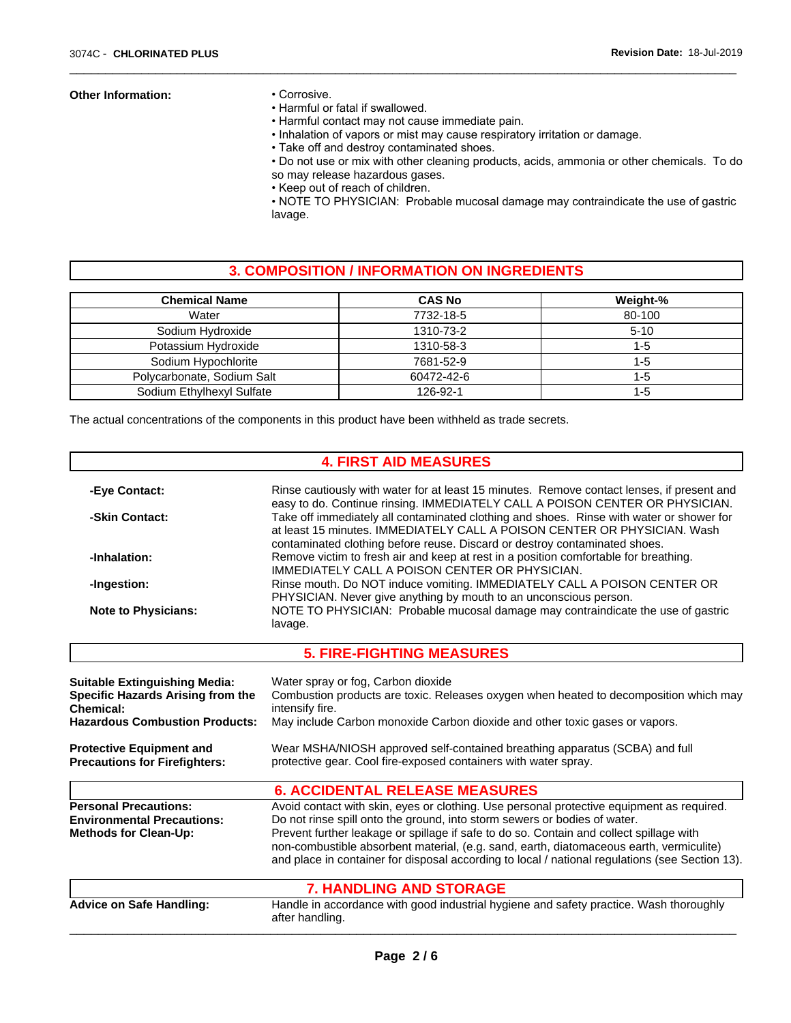#### **Other Information:** • Corrosive.

- 
- Harmful or fatal if swallowed.
- Harmful contact may not cause immediate pain.
- Inhalation of vapors or mist may cause respiratory irritation or damage.

 $\overline{\phantom{a}}$  ,  $\overline{\phantom{a}}$  ,  $\overline{\phantom{a}}$  ,  $\overline{\phantom{a}}$  ,  $\overline{\phantom{a}}$  ,  $\overline{\phantom{a}}$  ,  $\overline{\phantom{a}}$  ,  $\overline{\phantom{a}}$  ,  $\overline{\phantom{a}}$  ,  $\overline{\phantom{a}}$  ,  $\overline{\phantom{a}}$  ,  $\overline{\phantom{a}}$  ,  $\overline{\phantom{a}}$  ,  $\overline{\phantom{a}}$  ,  $\overline{\phantom{a}}$  ,  $\overline{\phantom{a}}$ 

• Take off and destroy contaminated shoes.

• Do not use or mix with other cleaning products, acids, ammonia or other chemicals. To do so may release hazardous gases.

• Keep out of reach of children.

• NOTE TO PHYSICIAN: Probable mucosal damage may contraindicate the use of gastric lavage.

# **3. COMPOSITION / INFORMATION ON INGREDIENTS**

| <b>Chemical Name</b>       | <b>CAS No</b> | Weight-% |
|----------------------------|---------------|----------|
| Water                      | 7732-18-5     | 80-100   |
| Sodium Hydroxide           | 1310-73-2     | $5-10$   |
| Potassium Hydroxide        | 1310-58-3     | 1-5      |
| Sodium Hypochlorite        | 7681-52-9     | 1-5      |
| Polycarbonate, Sodium Salt | 60472-42-6    | 1-5      |
| Sodium Ethylhexyl Sulfate  | 126-92-1      | 1-5      |

The actual concentrations of the components in this product have been withheld as trade secrets.

|                                                                                                   | <b>4. FIRST AID MEASURES</b>                                                                                                                                                                                                                                                                                                                                                                                                                                    |
|---------------------------------------------------------------------------------------------------|-----------------------------------------------------------------------------------------------------------------------------------------------------------------------------------------------------------------------------------------------------------------------------------------------------------------------------------------------------------------------------------------------------------------------------------------------------------------|
| -Eye Contact:                                                                                     | Rinse cautiously with water for at least 15 minutes. Remove contact lenses, if present and<br>easy to do. Continue rinsing. IMMEDIATELY CALL A POISON CENTER OR PHYSICIAN.                                                                                                                                                                                                                                                                                      |
| -Skin Contact:                                                                                    | Take off immediately all contaminated clothing and shoes. Rinse with water or shower for<br>at least 15 minutes. IMMEDIATELY CALL A POISON CENTER OR PHYSICIAN, Wash<br>contaminated clothing before reuse. Discard or destroy contaminated shoes.                                                                                                                                                                                                              |
| -Inhalation:                                                                                      | Remove victim to fresh air and keep at rest in a position comfortable for breathing.<br>IMMEDIATELY CALL A POISON CENTER OR PHYSICIAN.                                                                                                                                                                                                                                                                                                                          |
| -Ingestion:                                                                                       | Rinse mouth. Do NOT induce vomiting. IMMEDIATELY CALL A POISON CENTER OR<br>PHYSICIAN. Never give anything by mouth to an unconscious person.                                                                                                                                                                                                                                                                                                                   |
| <b>Note to Physicians:</b>                                                                        | NOTE TO PHYSICIAN: Probable mucosal damage may contraindicate the use of gastric<br>lavage.                                                                                                                                                                                                                                                                                                                                                                     |
|                                                                                                   | <b>5. FIRE-FIGHTING MEASURES</b>                                                                                                                                                                                                                                                                                                                                                                                                                                |
| <b>Suitable Extinguishing Media:</b><br>Specific Hazards Arising from the<br>Chemical:            | Water spray or fog, Carbon dioxide<br>Combustion products are toxic. Releases oxygen when heated to decomposition which may<br>intensify fire.                                                                                                                                                                                                                                                                                                                  |
| <b>Hazardous Combustion Products:</b>                                                             | May include Carbon monoxide Carbon dioxide and other toxic gases or vapors.                                                                                                                                                                                                                                                                                                                                                                                     |
| <b>Protective Equipment and</b><br><b>Precautions for Firefighters:</b>                           | Wear MSHA/NIOSH approved self-contained breathing apparatus (SCBA) and full<br>protective gear. Cool fire-exposed containers with water spray.                                                                                                                                                                                                                                                                                                                  |
|                                                                                                   | <b>6. ACCIDENTAL RELEASE MEASURES</b>                                                                                                                                                                                                                                                                                                                                                                                                                           |
| <b>Personal Precautions:</b><br><b>Environmental Precautions:</b><br><b>Methods for Clean-Up:</b> | Avoid contact with skin, eyes or clothing. Use personal protective equipment as required.<br>Do not rinse spill onto the ground, into storm sewers or bodies of water.<br>Prevent further leakage or spillage if safe to do so. Contain and collect spillage with<br>non-combustible absorbent material, (e.g. sand, earth, diatomaceous earth, vermiculite)<br>and place in container for disposal according to local / national regulations (see Section 13). |
|                                                                                                   | <b>7. HANDLING AND STORAGE</b>                                                                                                                                                                                                                                                                                                                                                                                                                                  |
| <b>Advice on Safe Handling:</b>                                                                   | Handle in accordance with good industrial hygiene and safety practice. Wash thoroughly<br>after handling.                                                                                                                                                                                                                                                                                                                                                       |
|                                                                                                   |                                                                                                                                                                                                                                                                                                                                                                                                                                                                 |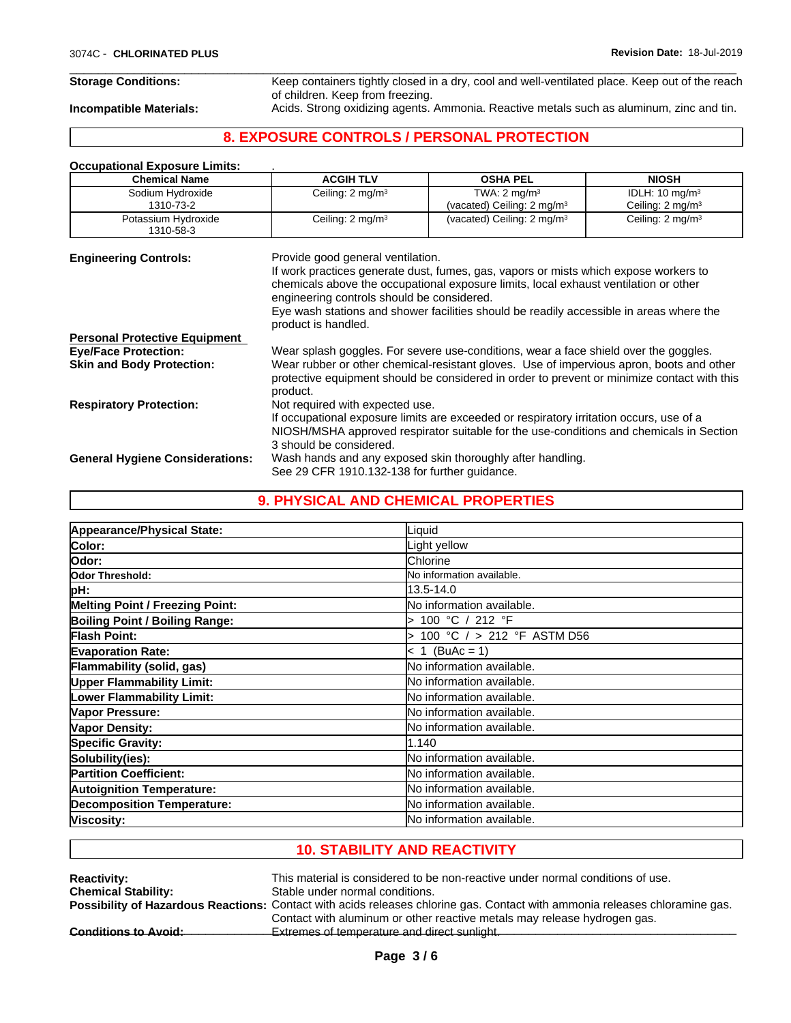**Storage Conditions:** Keep containers tightly closed in a dry, cool and well-ventilated place. Keep out of the reach of children. Keep from freezing.

 $\overline{\phantom{a}}$  ,  $\overline{\phantom{a}}$  ,  $\overline{\phantom{a}}$  ,  $\overline{\phantom{a}}$  ,  $\overline{\phantom{a}}$  ,  $\overline{\phantom{a}}$  ,  $\overline{\phantom{a}}$  ,  $\overline{\phantom{a}}$  ,  $\overline{\phantom{a}}$  ,  $\overline{\phantom{a}}$  ,  $\overline{\phantom{a}}$  ,  $\overline{\phantom{a}}$  ,  $\overline{\phantom{a}}$  ,  $\overline{\phantom{a}}$  ,  $\overline{\phantom{a}}$  ,  $\overline{\phantom{a}}$ 

**Incompatible Materials:** Acids. Strong oxidizing agents. Ammonia. Reactive metals such as aluminum, zinc and tin.

# **8. EXPOSURE CONTROLS / PERSONAL PROTECTION**

## **Occupational Exposure Limits:** .

| <b>Chemical Name</b>                   | <b>ACGIH TLV</b>                                                                                                                                                                                                                                                                                                                                                                  | <b>OSHA PEL</b>                                                                                                                                                                         | <b>NIOSH</b>                                             |
|----------------------------------------|-----------------------------------------------------------------------------------------------------------------------------------------------------------------------------------------------------------------------------------------------------------------------------------------------------------------------------------------------------------------------------------|-----------------------------------------------------------------------------------------------------------------------------------------------------------------------------------------|----------------------------------------------------------|
| Sodium Hydroxide<br>1310-73-2          | Ceiling: 2 mg/m <sup>3</sup>                                                                                                                                                                                                                                                                                                                                                      | TWA: $2 \text{ mq/m}^3$<br>(vacated) Ceiling: 2 mg/m <sup>3</sup>                                                                                                                       | IDLH: $10 \text{ mg/m}^3$<br>Ceiling: $2 \text{ mg/m}^3$ |
| Potassium Hydroxide<br>1310-58-3       | Ceiling: 2 mg/m <sup>3</sup>                                                                                                                                                                                                                                                                                                                                                      | (vacated) Ceiling: 2 mg/m <sup>3</sup>                                                                                                                                                  | Ceiling: 2 mg/m <sup>3</sup>                             |
| <b>Engineering Controls:</b>           | Provide good general ventilation.<br>If work practices generate dust, fumes, gas, vapors or mists which expose workers to<br>chemicals above the occupational exposure limits, local exhaust ventilation or other<br>engineering controls should be considered.<br>Eye wash stations and shower facilities should be readily accessible in areas where the<br>product is handled. |                                                                                                                                                                                         |                                                          |
| <b>Personal Protective Equipment</b>   |                                                                                                                                                                                                                                                                                                                                                                                   |                                                                                                                                                                                         |                                                          |
| <b>Eye/Face Protection:</b>            |                                                                                                                                                                                                                                                                                                                                                                                   | Wear splash goggles. For severe use-conditions, wear a face shield over the goggles.                                                                                                    |                                                          |
| <b>Skin and Body Protection:</b>       | product.                                                                                                                                                                                                                                                                                                                                                                          | Wear rubber or other chemical-resistant gloves. Use of impervious apron, boots and other<br>protective equipment should be considered in order to prevent or minimize contact with this |                                                          |
| <b>Respiratory Protection:</b>         | Not required with expected use.<br>3 should be considered.                                                                                                                                                                                                                                                                                                                        | If occupational exposure limits are exceeded or respiratory irritation occurs, use of a<br>NIOSH/MSHA approved respirator suitable for the use-conditions and chemicals in Section      |                                                          |
| <b>General Hygiene Considerations:</b> | See 29 CFR 1910.132-138 for further quidance.                                                                                                                                                                                                                                                                                                                                     | Wash hands and any exposed skin thoroughly after handling.                                                                                                                              |                                                          |

|                                       | <b>9. PHYSICAL AND CHEMICAL PROPERTIES</b> |
|---------------------------------------|--------------------------------------------|
|                                       |                                            |
| Appearance/Physical State:            | Liquid                                     |
| <b>Color:</b>                         | Light yellow                               |
| lOdor:                                | Chlorine                                   |
| Odor Threshold:                       | No information available.                  |
| pH:                                   | 13.5-14.0                                  |
| Melting Point / Freezing Point:       | No information available.                  |
| <b>Boiling Point / Boiling Range:</b> | 100 °C / 212 °F                            |
| Flash Point:                          | 100 °C / > 212 °F ASTM D56                 |
| <b>Evaporation Rate:</b>              | $< 1$ (BuAc = 1)                           |
| Flammability (solid, gas)             | No information available.                  |
| <b>Upper Flammability Limit:</b>      | No information available.                  |
| Lower Flammability Limit:             | No information available.                  |
| Vapor Pressure:                       | No information available.                  |
| Vapor Density:                        | No information available.                  |
| <b>Specific Gravity:</b>              | 1.140                                      |
| Solubility(ies):                      | No information available.                  |
| <b>Partition Coefficient:</b>         | No information available.                  |
| <b>Autoignition Temperature:</b>      | No information available.                  |
| <b>Decomposition Temperature:</b>     | No information available.                  |
| Viscosity:                            | No information available.                  |

# **10. STABILITY AND REACTIVITY**

| <b>Reactivity:</b>          | This material is considered to be non-reactive under normal conditions of use.                                              |
|-----------------------------|-----------------------------------------------------------------------------------------------------------------------------|
| <b>Chemical Stability:</b>  | Stable under normal conditions.                                                                                             |
|                             | Possibility of Hazardous Reactions: Contact with acids releases chlorine gas. Contact with ammonia releases chloramine gas. |
|                             | Contact with aluminum or other reactive metals may release hydrogen gas.                                                    |
| <b>Conditions to Avoid:</b> | Extremes of temperature and direct sunlight.                                                                                |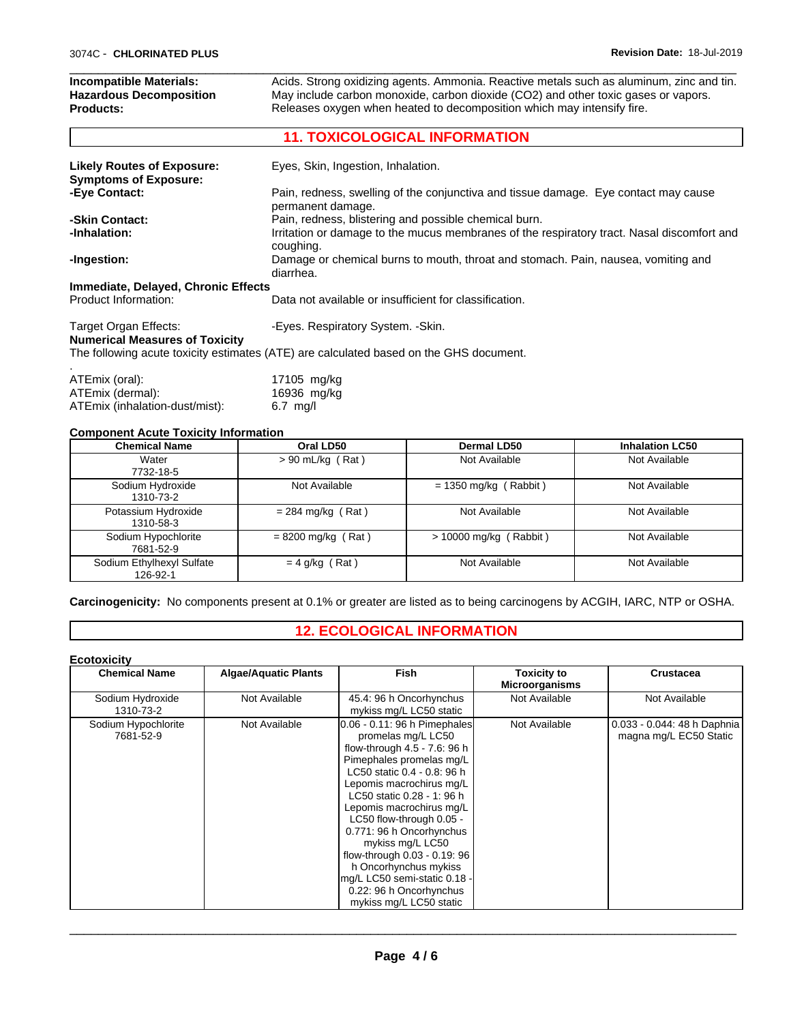| Incompatible Materials:<br><b>Hazardous Decomposition</b><br><b>Products:</b> | Acids. Strong oxidizing agents. Ammonia. Reactive metals such as aluminum, zinc and tin.<br>May include carbon monoxide, carbon dioxide (CO2) and other toxic gases or vapors.<br>Releases oxygen when heated to decomposition which may intensify fire. |  |
|-------------------------------------------------------------------------------|----------------------------------------------------------------------------------------------------------------------------------------------------------------------------------------------------------------------------------------------------------|--|
|                                                                               | <b>11. TOXICOLOGICAL INFORMATION</b>                                                                                                                                                                                                                     |  |
| <b>Likely Routes of Exposure:</b><br><b>Symptoms of Exposure:</b>             | Eyes, Skin, Ingestion, Inhalation.                                                                                                                                                                                                                       |  |
| -Eye Contact:                                                                 | Pain, redness, swelling of the conjunctiva and tissue damage. Eye contact may cause                                                                                                                                                                      |  |

 $\overline{\phantom{a}}$  ,  $\overline{\phantom{a}}$  ,  $\overline{\phantom{a}}$  ,  $\overline{\phantom{a}}$  ,  $\overline{\phantom{a}}$  ,  $\overline{\phantom{a}}$  ,  $\overline{\phantom{a}}$  ,  $\overline{\phantom{a}}$  ,  $\overline{\phantom{a}}$  ,  $\overline{\phantom{a}}$  ,  $\overline{\phantom{a}}$  ,  $\overline{\phantom{a}}$  ,  $\overline{\phantom{a}}$  ,  $\overline{\phantom{a}}$  ,  $\overline{\phantom{a}}$  ,  $\overline{\phantom{a}}$ 

|                                     | permanent damage.                                                                                       |
|-------------------------------------|---------------------------------------------------------------------------------------------------------|
| -Skin Contact:                      | Pain, redness, blistering and possible chemical burn.                                                   |
| -Inhalation:                        | Irritation or damage to the mucus membranes of the respiratory tract. Nasal discomfort and<br>coughing. |
| -Ingestion:                         | Damage or chemical burns to mouth, throat and stomach. Pain, nausea, vomiting and<br>diarrhea.          |
| Immediate, Delayed, Chronic Effects |                                                                                                         |
| Product Information:                | Data not available or insufficient for classification.                                                  |
|                                     |                                                                                                         |

# Target Organ Effects: - Target Organ Effects: Fespiratory System. - Skin.

### **Numerical Measures of Toxicity**

The following acute toxicity estimates (ATE) are calculated based on the GHS document.

| ATEmix (oral):                 | 17105 mg/kg        |
|--------------------------------|--------------------|
| ATEmix (dermal):               | 16936 mg/kg        |
| ATEmix (inhalation-dust/mist): | $6.7 \text{ mq/l}$ |

### **Component Acute Toxicity Information**

| <b>Chemical Name</b>                  | Oral LD50            | <b>Dermal LD50</b>       | <b>Inhalation LC50</b> |
|---------------------------------------|----------------------|--------------------------|------------------------|
| Water<br>7732-18-5                    | $> 90$ mL/kg (Rat)   | Not Available            | Not Available          |
| Sodium Hydroxide<br>1310-73-2         | Not Available        | $= 1350$ mg/kg (Rabbit)  | Not Available          |
| Potassium Hydroxide<br>1310-58-3      | $= 284$ mg/kg (Rat)  | Not Available            | Not Available          |
| Sodium Hypochlorite<br>7681-52-9      | $= 8200$ mg/kg (Rat) | $> 10000$ mg/kg (Rabbit) | Not Available          |
| Sodium Ethylhexyl Sulfate<br>126-92-1 | $= 4$ g/kg (Rat)     | Not Available            | Not Available          |

**Carcinogenicity:** No components present at 0.1% or greater are listed as to being carcinogens by ACGIH, IARC, NTP or OSHA.

# **12. ECOLOGICAL INFORMATION**

| <b>Chemical Name</b>             | <b>Algae/Aquatic Plants</b> | Fish                                                                                                                                                                                                                                                                                                                                                                                                                                                           | <b>Toxicity to</b>    | <b>Crustacea</b>                                      |
|----------------------------------|-----------------------------|----------------------------------------------------------------------------------------------------------------------------------------------------------------------------------------------------------------------------------------------------------------------------------------------------------------------------------------------------------------------------------------------------------------------------------------------------------------|-----------------------|-------------------------------------------------------|
|                                  |                             |                                                                                                                                                                                                                                                                                                                                                                                                                                                                | <b>Microorganisms</b> |                                                       |
| Sodium Hydroxide<br>1310-73-2    | Not Available               | 45.4: 96 h Oncorhynchus<br>mykiss mg/L LC50 static                                                                                                                                                                                                                                                                                                                                                                                                             | Not Available         | Not Available                                         |
| Sodium Hypochlorite<br>7681-52-9 | Not Available               | 0.06 - 0.11: 96 h Pimephales<br>promelas mg/L LC50<br>flow-through 4.5 - 7.6: 96 h<br>Pimephales promelas mg/L<br>LC50 static 0.4 - 0.8: 96 h<br>Lepomis macrochirus mg/L<br>LC50 static 0.28 - 1: 96 h<br>Lepomis macrochirus mg/L<br>LC50 flow-through 0.05 -<br>0.771: 96 h Oncorhynchus<br>mykiss mg/L LC50<br>flow-through 0.03 - 0.19: 96<br>h Oncorhynchus mykiss<br>mg/L LC50 semi-static 0.18 -<br>0.22: 96 h Oncorhynchus<br>mykiss mg/L LC50 static | Not Available         | 0.033 - 0.044: 48 h Daphnia<br>magna mg/L EC50 Static |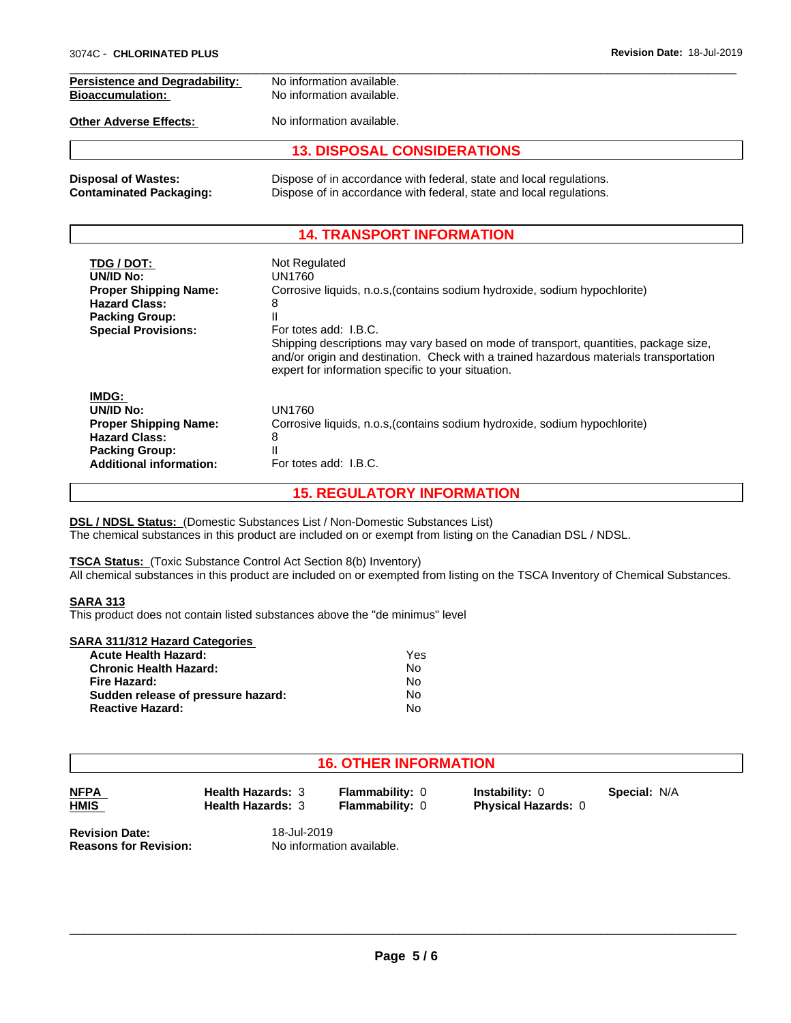| <b>Persistence and Degradability:</b> | No information available.                                                  |  |
|---------------------------------------|----------------------------------------------------------------------------|--|
| <b>Bioaccumulation:</b>               | No information available.                                                  |  |
| <b>Other Adverse Effects:</b>         | No information available.                                                  |  |
|                                       | <b>13. DISPOSAL CONSIDERATIONS</b>                                         |  |
| <b>Disposal of Wastes:</b>            | Dispose of in accordance with federal, state and local regulations.        |  |
| <b>Contaminated Packaging:</b>        | Dispose of in accordance with federal, state and local regulations.        |  |
|                                       | <b>14. TRANSPORT INFORMATION</b>                                           |  |
| TDG / DOT:                            | Not Regulated                                                              |  |
| UN/ID No:                             | UN1760                                                                     |  |
| <b>Proper Shipping Name:</b>          | Corrosive liquids, n.o.s, (contains sodium hydroxide, sodium hypochlorite) |  |
| <b>Hazard Class:</b>                  | 8                                                                          |  |
| <b>Packing Group:</b>                 |                                                                            |  |
| <b>Special Provisions:</b>            | For totes add: I.B.C.                                                      |  |

|                                                                                                                                       | and/or origin and destination. Check with a trained hazardous materials transportation<br>expert for information specific to your situation. |  |
|---------------------------------------------------------------------------------------------------------------------------------------|----------------------------------------------------------------------------------------------------------------------------------------------|--|
| IMDG:<br>UN/ID No:<br><b>Proper Shipping Name:</b><br><b>Hazard Class:</b><br><b>Packing Group:</b><br><b>Additional information:</b> | UN1760<br>Corrosive liquids, n.o.s. (contains sodium hydroxide, sodium hypochlorite)<br>8<br>For totes add: I.B.C.                           |  |

Shipping descriptions may vary based on mode of transport, quantities, package size,

# **15. REGULATORY INFORMATION**

**DSL / NDSL Status:** (Domestic Substances List / Non-Domestic Substances List) The chemical substances in this product are included on or exempt from listing on the Canadian DSL / NDSL.

#### **TSCA Status:** (Toxic Substance Control Act Section 8(b) Inventory)

All chemical substances in this product are included on or exempted from listing on the TSCA Inventory of Chemical Substances.

#### **SARA 313**

This product does not contain listed substances above the "de minimus" level

#### **SARA 311/312 Hazard Categories**

| <b>Acute Health Hazard:</b>        | Yes |
|------------------------------------|-----|
| <b>Chronic Health Hazard:</b>      | No  |
| Fire Hazard:                       | No  |
| Sudden release of pressure hazard: | No  |
| <b>Reactive Hazard:</b>            | N٥  |

# **16. OTHER INFORMATION**

| <b>NFPA</b> |  |
|-------------|--|
| <b>HMIS</b> |  |

**Health Hazards:** 3 **Flammability:** 0 **Instability:** 0 **Health Hazards:** 3 **Flammability:** 0 **Physical Hazards:** 0

**Special:** N/A

**Revision Date:** 18-Jul-2019<br> **Reasons for Revision:** No information

**Reasons for Revision:** No information available.